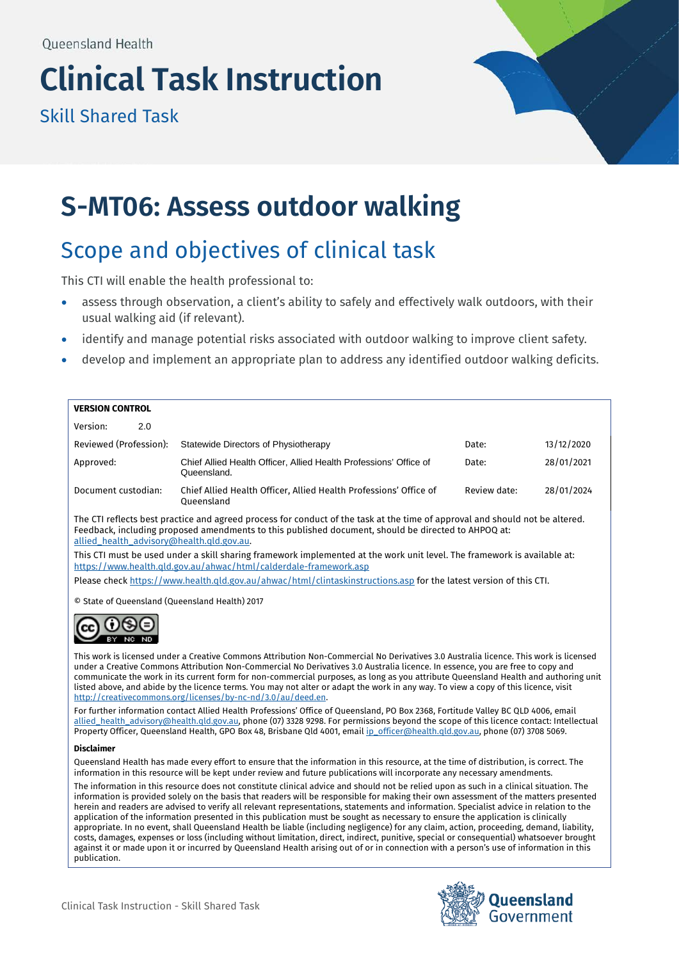# **Clinical Task Instruction**

Skill Shared Task



## **S-MT06: Assess outdoor walking**

## Scope and objectives of clinical task

This CTI will enable the health professional to:

- assess through observation, a client's ability to safely and effectively walk outdoors, with their usual walking aid (if relevant).
- identify and manage potential risks associated with outdoor walking to improve client safety.
- develop and implement an appropriate plan to address any identified outdoor walking deficits.

#### **VERSION CONTROL**

| Version:               | 2.0 |                                                                                  |              |            |
|------------------------|-----|----------------------------------------------------------------------------------|--------------|------------|
| Reviewed (Profession): |     | Statewide Directors of Physiotherapy                                             | Date:        | 13/12/2020 |
| Approved:              |     | Chief Allied Health Officer, Allied Health Professions' Office of<br>Queensland. | Date:        | 28/01/2021 |
| Document custodian:    |     | Chief Allied Health Officer, Allied Health Professions' Office of<br>Oueensland  | Review date: | 28/01/2024 |

The CTI reflects best practice and agreed process for conduct of the task at the time of approval and should not be altered. Feedback, including proposed amendments to this published document, should be directed to AHPOQ at: [allied\\_health\\_advisory@health.qld.gov.au.](mailto:allied_health_advisory@health.qld.gov.au) 

This CTI must be used under a skill sharing framework implemented at the work unit level. The framework is available at: <https://www.health.qld.gov.au/ahwac/html/calderdale-framework.asp>

Please chec[k https://www.health.qld.gov.au/ahwac/html/clintaskinstructions.asp](https://www.health.qld.gov.au/ahwac/html/clintaskinstructions.asp) for the latest version of this CTI.

© State of Queensland (Queensland Health) 2017



This work is licensed under a Creative Commons Attribution Non-Commercial No Derivatives 3.0 Australia licence. This work is licensed under a Creative Commons Attribution Non-Commercial No Derivatives 3.0 Australia licence. In essence, you are free to copy and communicate the work in its current form for non-commercial purposes, as long as you attribute Queensland Health and authoring unit listed above, and abide by the licence terms. You may not alter or adapt the work in any way. To view a copy of this licence, visit [http://creativecommons.org/licenses/by-nc-nd/3.0/au/deed.en.](http://creativecommons.org/licenses/by-nc-nd/3.0/au/deed.en) 

For further information contact Allied Health Professions' Office of Queensland, PO Box 2368, Fortitude Valley BC QLD 4006, email [allied\\_health\\_advisory@health.qld.gov.au,](mailto:allied_health_advisory@health.qld.gov.au) phone (07) 3328 9298. For permissions beyond the scope of this licence contact: Intellectual Property Officer, Queensland Health, GPO Box 48, Brisbane Qld 4001, emai[l ip\\_officer@health.qld.gov.au,](mailto:ip_officer@health.qld.gov.au) phone (07) 3708 5069.

#### **Disclaimer**

Queensland Health has made every effort to ensure that the information in this resource, at the time of distribution, is correct. The information in this resource will be kept under review and future publications will incorporate any necessary amendments.

The information in this resource does not constitute clinical advice and should not be relied upon as such in a clinical situation. The information is provided solely on the basis that readers will be responsible for making their own assessment of the matters presented herein and readers are advised to verify all relevant representations, statements and information. Specialist advice in relation to the application of the information presented in this publication must be sought as necessary to ensure the application is clinically appropriate. In no event, shall Queensland Health be liable (including negligence) for any claim, action, proceeding, demand, liability, costs, damages, expenses or loss (including without limitation, direct, indirect, punitive, special or consequential) whatsoever brought against it or made upon it or incurred by Queensland Health arising out of or in connection with a person's use of information in this publication.

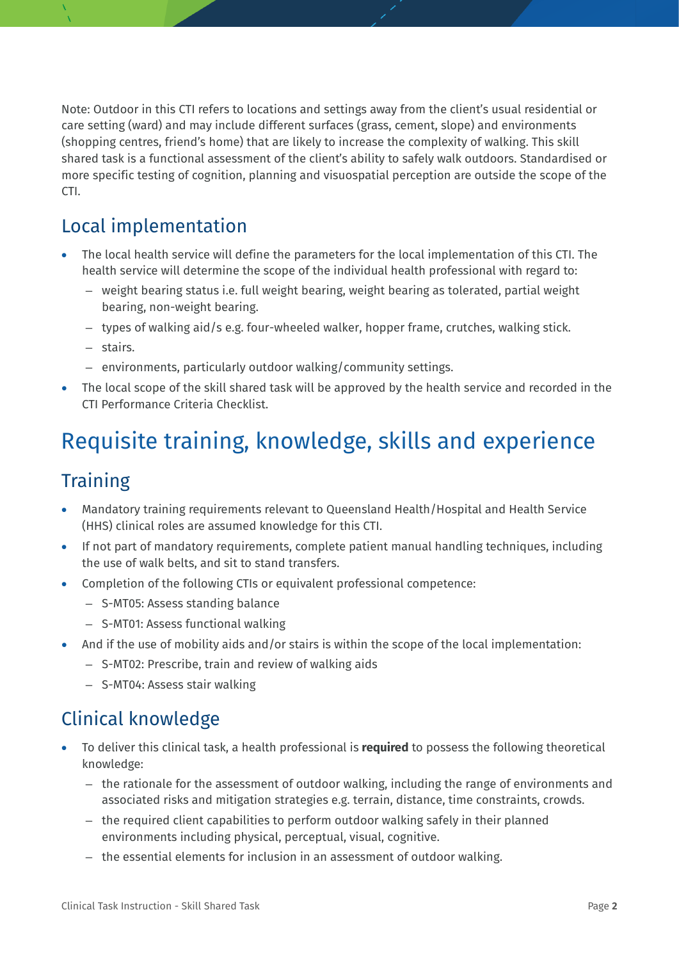Note: Outdoor in this CTI refers to locations and settings away from the client's usual residential or care setting (ward) and may include different surfaces (grass, cement, slope) and environments (shopping centres, friend's home) that are likely to increase the complexity of walking. This skill shared task is a functional assessment of the client's ability to safely walk outdoors. Standardised or more specific testing of cognition, planning and visuospatial perception are outside the scope of the CTI.

## Local implementation

- The local health service will define the parameters for the local implementation of this CTI. The health service will determine the scope of the individual health professional with regard to:
	- weight bearing status i.e. full weight bearing, weight bearing as tolerated, partial weight bearing, non-weight bearing.
	- types of walking aid/s e.g. four-wheeled walker, hopper frame, crutches, walking stick.
	- stairs.
	- environments, particularly outdoor walking/community settings.
- The local scope of the skill shared task will be approved by the health service and recorded in the CTI Performance Criteria Checklist.

## Requisite training, knowledge, skills and experience

## **Training**

- Mandatory training requirements relevant to Queensland Health/Hospital and Health Service (HHS) clinical roles are assumed knowledge for this CTI.
- If not part of mandatory requirements, complete patient manual handling techniques, including the use of walk belts, and sit to stand transfers.
- Completion of the following CTIs or equivalent professional competence:
	- S-MT05: Assess standing balance
	- S-MT01: Assess functional walking
- And if the use of mobility aids and/or stairs is within the scope of the local implementation:
	- S-MT02: Prescribe, train and review of walking aids
	- S-MT04: Assess stair walking

#### Clinical knowledge

- To deliver this clinical task, a health professional is **required** to possess the following theoretical knowledge:
	- the rationale for the assessment of outdoor walking, including the range of environments and associated risks and mitigation strategies e.g. terrain, distance, time constraints, crowds.
	- the required client capabilities to perform outdoor walking safely in their planned environments including physical, perceptual, visual, cognitive.
	- the essential elements for inclusion in an assessment of outdoor walking.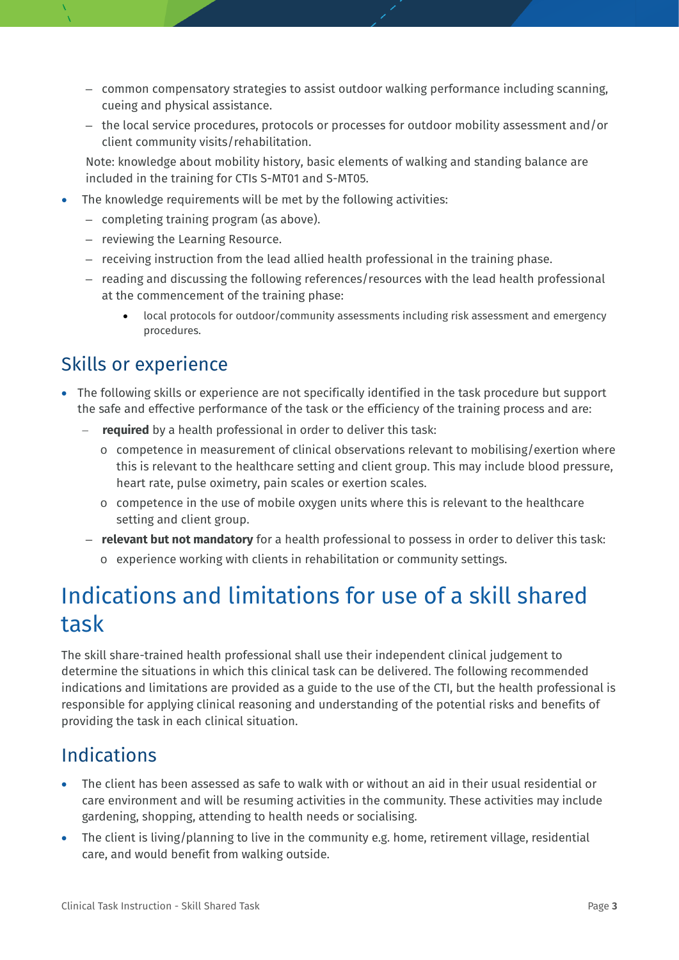- common compensatory strategies to assist outdoor walking performance including scanning, cueing and physical assistance.
- the local service procedures, protocols or processes for outdoor mobility assessment and/or client community visits/rehabilitation.

Note: knowledge about mobility history, basic elements of walking and standing balance are included in the training for CTIs S-MT01 and S-MT05.

- The knowledge requirements will be met by the following activities:
	- completing training program (as above).
	- reviewing the Learning Resource.
	- receiving instruction from the lead allied health professional in the training phase.
	- reading and discussing the following references/resources with the lead health professional at the commencement of the training phase:
		- local protocols for outdoor/community assessments including risk assessment and emergency procedures.

#### Skills or experience

- The following skills or experience are not specifically identified in the task procedure but support the safe and effective performance of the task or the efficiency of the training process and are:
	- **required** by a health professional in order to deliver this task:
		- $\circ$  competence in measurement of clinical observations relevant to mobilising/exertion where this is relevant to the healthcare setting and client group. This may include blood pressure, heart rate, pulse oximetry, pain scales or exertion scales.
		- o competence in the use of mobile oxygen units where this is relevant to the healthcare setting and client group.
	- **relevant but not mandatory** for a health professional to possess in order to deliver this task:
		- o experience working with clients in rehabilitation or community settings.

## Indications and limitations for use of a skill shared task

The skill share-trained health professional shall use their independent clinical judgement to determine the situations in which this clinical task can be delivered. The following recommended indications and limitations are provided as a guide to the use of the CTI, but the health professional is responsible for applying clinical reasoning and understanding of the potential risks and benefits of providing the task in each clinical situation.

## Indications

- The client has been assessed as safe to walk with or without an aid in their usual residential or care environment and will be resuming activities in the community. These activities may include gardening, shopping, attending to health needs or socialising.
- The client is living/planning to live in the community e.g. home, retirement village, residential care, and would benefit from walking outside.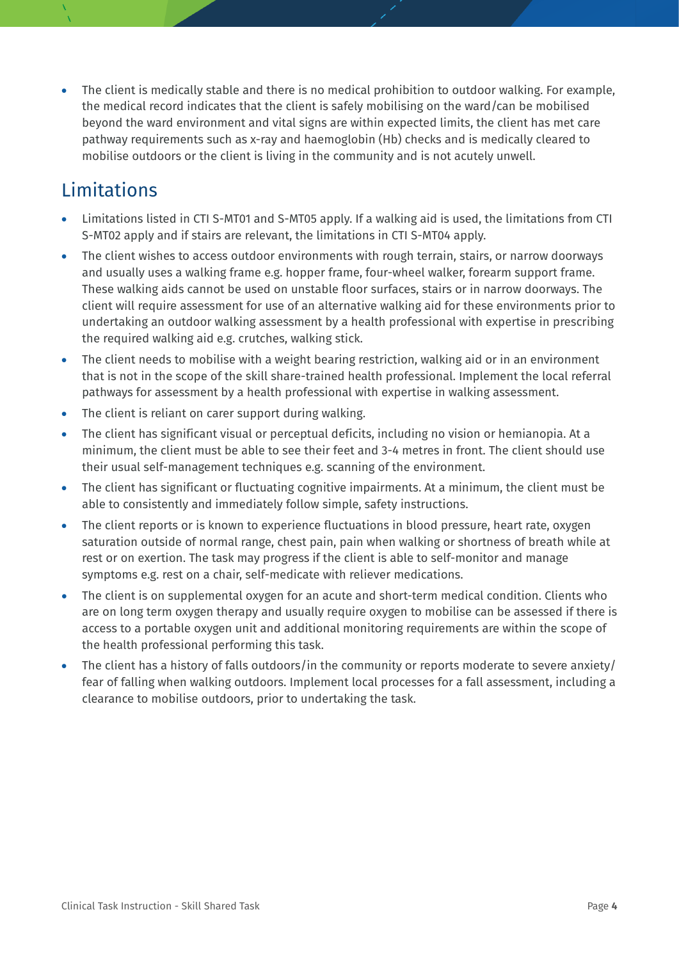• The client is medically stable and there is no medical prohibition to outdoor walking. For example, the medical record indicates that the client is safely mobilising on the ward/can be mobilised beyond the ward environment and vital signs are within expected limits, the client has met care pathway requirements such as x-ray and haemoglobin (Hb) checks and is medically cleared to mobilise outdoors or the client is living in the community and is not acutely unwell.

## **Limitations**

- Limitations listed in CTI S-MT01 and S-MT05 apply. If a walking aid is used, the limitations from CTI S-MT02 apply and if stairs are relevant, the limitations in CTI S-MT04 apply.
- The client wishes to access outdoor environments with rough terrain, stairs, or narrow doorways and usually uses a walking frame e.g. hopper frame, four-wheel walker, forearm support frame. These walking aids cannot be used on unstable floor surfaces, stairs or in narrow doorways. The client will require assessment for use of an alternative walking aid for these environments prior to undertaking an outdoor walking assessment by a health professional with expertise in prescribing the required walking aid e.g. crutches, walking stick.
- The client needs to mobilise with a weight bearing restriction, walking aid or in an environment that is not in the scope of the skill share-trained health professional. Implement the local referral pathways for assessment by a health professional with expertise in walking assessment.
- The client is reliant on carer support during walking.
- The client has significant visual or perceptual deficits, including no vision or hemianopia. At a minimum, the client must be able to see their feet and 3-4 metres in front. The client should use their usual self-management techniques e.g. scanning of the environment.
- The client has significant or fluctuating cognitive impairments. At a minimum, the client must be able to consistently and immediately follow simple, safety instructions.
- The client reports or is known to experience fluctuations in blood pressure, heart rate, oxygen saturation outside of normal range, chest pain, pain when walking or shortness of breath while at rest or on exertion. The task may progress if the client is able to self-monitor and manage symptoms e.g. rest on a chair, self-medicate with reliever medications.
- The client is on supplemental oxygen for an acute and short-term medical condition. Clients who are on long term oxygen therapy and usually require oxygen to mobilise can be assessed if there is access to a portable oxygen unit and additional monitoring requirements are within the scope of the health professional performing this task.
- The client has a history of falls outdoors/in the community or reports moderate to severe anxiety/ fear of falling when walking outdoors. Implement local processes for a fall assessment, including a clearance to mobilise outdoors, prior to undertaking the task.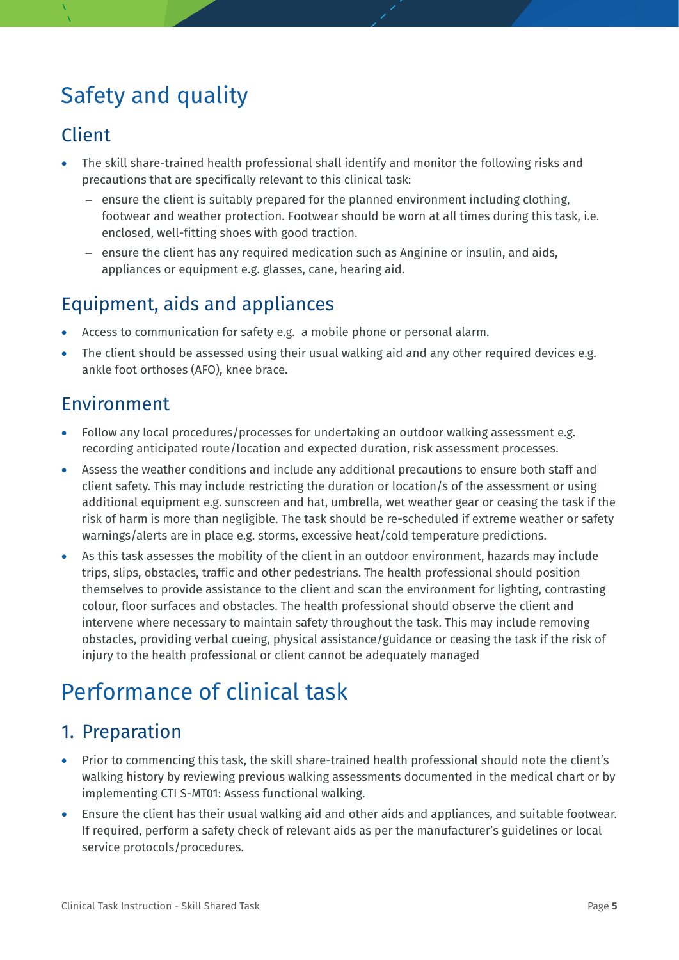## Safety and quality

## Client

- The skill share-trained health professional shall identify and monitor the following risks and precautions that are specifically relevant to this clinical task:
	- ensure the client is suitably prepared for the planned environment including clothing, footwear and weather protection. Footwear should be worn at all times during this task, i.e. enclosed, well-fitting shoes with good traction.
	- ensure the client has any required medication such as Anginine or insulin, and aids, appliances or equipment e.g. glasses, cane, hearing aid.

## Equipment, aids and appliances

- Access to communication for safety e.g. a mobile phone or personal alarm.
- The client should be assessed using their usual walking aid and any other required devices e.g. ankle foot orthoses (AFO), knee brace.

## Environment

- Follow any local procedures/processes for undertaking an outdoor walking assessment e.g. recording anticipated route/location and expected duration, risk assessment processes.
- Assess the weather conditions and include any additional precautions to ensure both staff and client safety. This may include restricting the duration or location/s of the assessment or using additional equipment e.g. sunscreen and hat, umbrella, wet weather gear or ceasing the task if the risk of harm is more than negligible. The task should be re-scheduled if extreme weather or safety warnings/alerts are in place e.g. storms, excessive heat/cold temperature predictions.
- As this task assesses the mobility of the client in an outdoor environment, hazards may include trips, slips, obstacles, traffic and other pedestrians. The health professional should position themselves to provide assistance to the client and scan the environment for lighting, contrasting colour, floor surfaces and obstacles. The health professional should observe the client and intervene where necessary to maintain safety throughout the task. This may include removing obstacles, providing verbal cueing, physical assistance/guidance or ceasing the task if the risk of injury to the health professional or client cannot be adequately managed

## Performance of clinical task

## 1. Preparation

- Prior to commencing this task, the skill share-trained health professional should note the client's walking history by reviewing previous walking assessments documented in the medical chart or by implementing CTI S-MT01: Assess functional walking.
- Ensure the client has their usual walking aid and other aids and appliances, and suitable footwear. If required, perform a safety check of relevant aids as per the manufacturer's guidelines or local service protocols/procedures.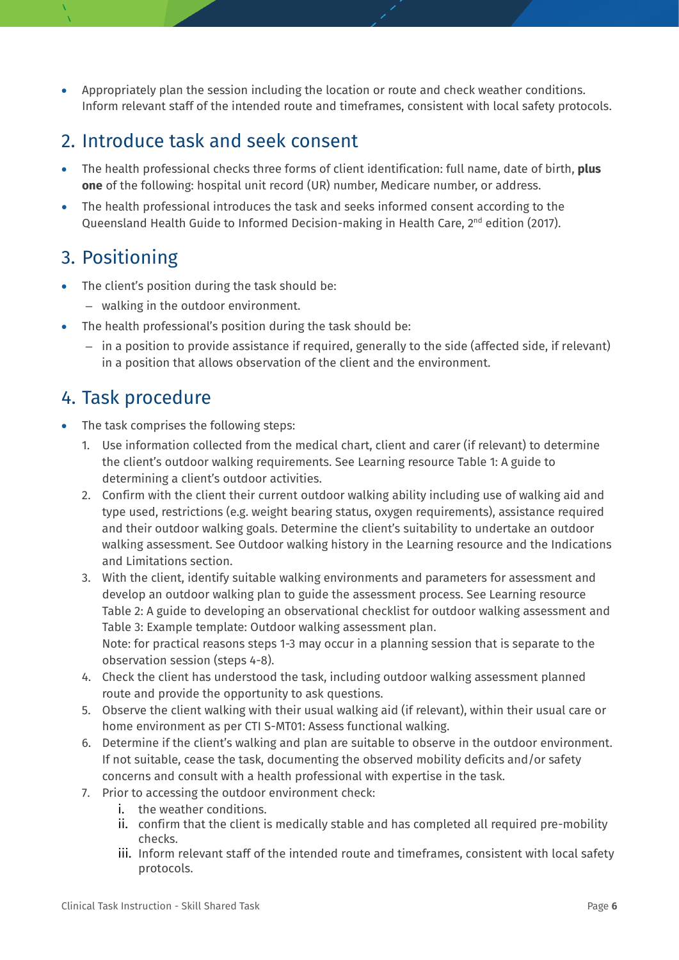• Appropriately plan the session including the location or route and check weather conditions. Inform relevant staff of the intended route and timeframes, consistent with local safety protocols.

### 2. Introduce task and seek consent

- The health professional checks three forms of client identification: full name, date of birth, **plus one** of the following: hospital unit record (UR) number, Medicare number, or address.
- The health professional introduces the task and seeks informed consent according to the Queensland Health Guide to Informed Decision-making in Health Care, 2<sup>nd</sup> edition (2017).

## 3. Positioning

- The client's position during the task should be:
	- walking in the outdoor environment.
- The health professional's position during the task should be:
	- in a position to provide assistance if required, generally to the side (affected side, if relevant) in a position that allows observation of the client and the environment.

## 4. Task procedure

- The task comprises the following steps:
	- 1. Use information collected from the medical chart, client and carer (if relevant) to determine the client's outdoor walking requirements. See Learning resource Table 1: A guide to determining a client's outdoor activities.
	- 2. Confirm with the client their current outdoor walking ability including use of walking aid and type used, restrictions (e.g. weight bearing status, oxygen requirements), assistance required and their outdoor walking goals. Determine the client's suitability to undertake an outdoor walking assessment. See Outdoor walking history in the Learning resource and the Indications and Limitations section.
	- 3. With the client, identify suitable walking environments and parameters for assessment and develop an outdoor walking plan to guide the assessment process. See Learning resource Table 2: A guide to developing an observational checklist for outdoor walking assessment and Table 3: Example template: Outdoor walking assessment plan. Note: for practical reasons steps 1-3 may occur in a planning session that is separate to the observation session (steps 4-8).
	- 4. Check the client has understood the task, including outdoor walking assessment planned route and provide the opportunity to ask questions.
	- 5. Observe the client walking with their usual walking aid (if relevant), within their usual care or home environment as per CTI S-MT01: Assess functional walking.
	- 6. Determine if the client's walking and plan are suitable to observe in the outdoor environment. If not suitable, cease the task, documenting the observed mobility deficits and/or safety concerns and consult with a health professional with expertise in the task.
	- 7. Prior to accessing the outdoor environment check:
		- i. the weather conditions.
		- ii. confirm that the client is medically stable and has completed all required pre-mobility checks.
		- iii. Inform relevant staff of the intended route and timeframes, consistent with local safety protocols.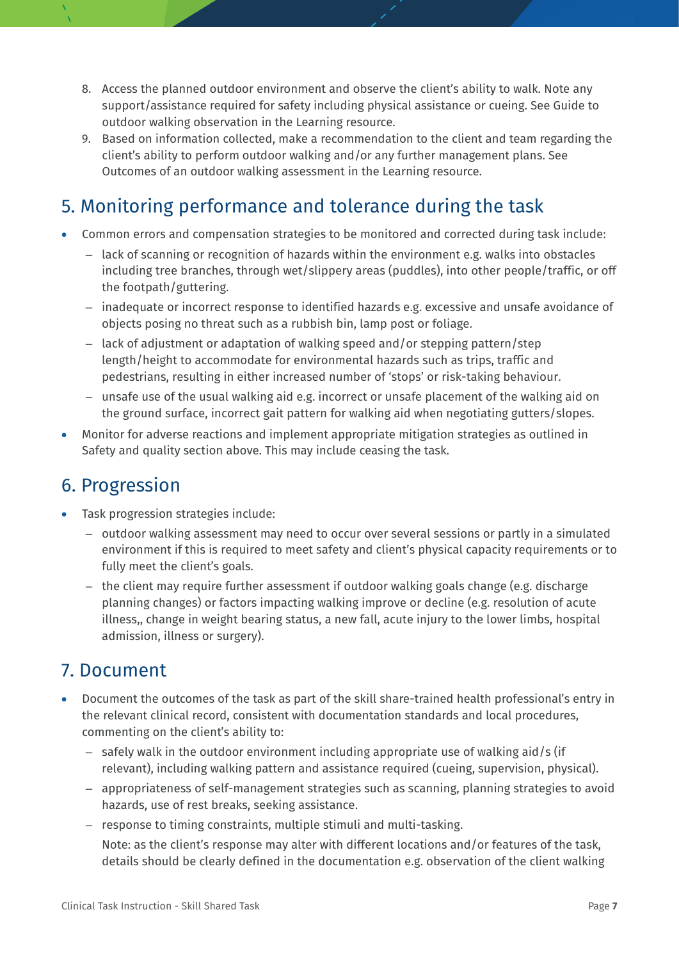- 8. Access the planned outdoor environment and observe the client's ability to walk. Note any support/assistance required for safety including physical assistance or cueing. See Guide to outdoor walking observation in the Learning resource.
- 9. Based on information collected, make a recommendation to the client and team regarding the client's ability to perform outdoor walking and/or any further management plans. See Outcomes of an outdoor walking assessment in the Learning resource.

## 5. Monitoring performance and tolerance during the task

- Common errors and compensation strategies to be monitored and corrected during task include:
	- lack of scanning or recognition of hazards within the environment e.g. walks into obstacles including tree branches, through wet/slippery areas (puddles), into other people/traffic, or off the footpath/guttering.
	- inadequate or incorrect response to identified hazards e.g. excessive and unsafe avoidance of objects posing no threat such as a rubbish bin, lamp post or foliage.
	- lack of adjustment or adaptation of walking speed and/or stepping pattern/step length/height to accommodate for environmental hazards such as trips, traffic and pedestrians, resulting in either increased number of 'stops' or risk-taking behaviour.
	- unsafe use of the usual walking aid e.g. incorrect or unsafe placement of the walking aid on the ground surface, incorrect gait pattern for walking aid when negotiating gutters/slopes.
- Monitor for adverse reactions and implement appropriate mitigation strategies as outlined in Safety and quality section above. This may include ceasing the task.

## 6. Progression

- Task progression strategies include:
	- outdoor walking assessment may need to occur over several sessions or partly in a simulated environment if this is required to meet safety and client's physical capacity requirements or to fully meet the client's goals.
	- the client may require further assessment if outdoor walking goals change (e.g. discharge planning changes) or factors impacting walking improve or decline (e.g. resolution of acute illness,, change in weight bearing status, a new fall, acute injury to the lower limbs, hospital admission, illness or surgery).

## 7. Document

- Document the outcomes of the task as part of the skill share-trained health professional's entry in the relevant clinical record, consistent with documentation standards and local procedures, commenting on the client's ability to:
	- safely walk in the outdoor environment including appropriate use of walking aid/s (if relevant), including walking pattern and assistance required (cueing, supervision, physical).
	- appropriateness of self-management strategies such as scanning, planning strategies to avoid hazards, use of rest breaks, seeking assistance.
	- response to timing constraints, multiple stimuli and multi-tasking.

Note: as the client's response may alter with different locations and/or features of the task, details should be clearly defined in the documentation e.g. observation of the client walking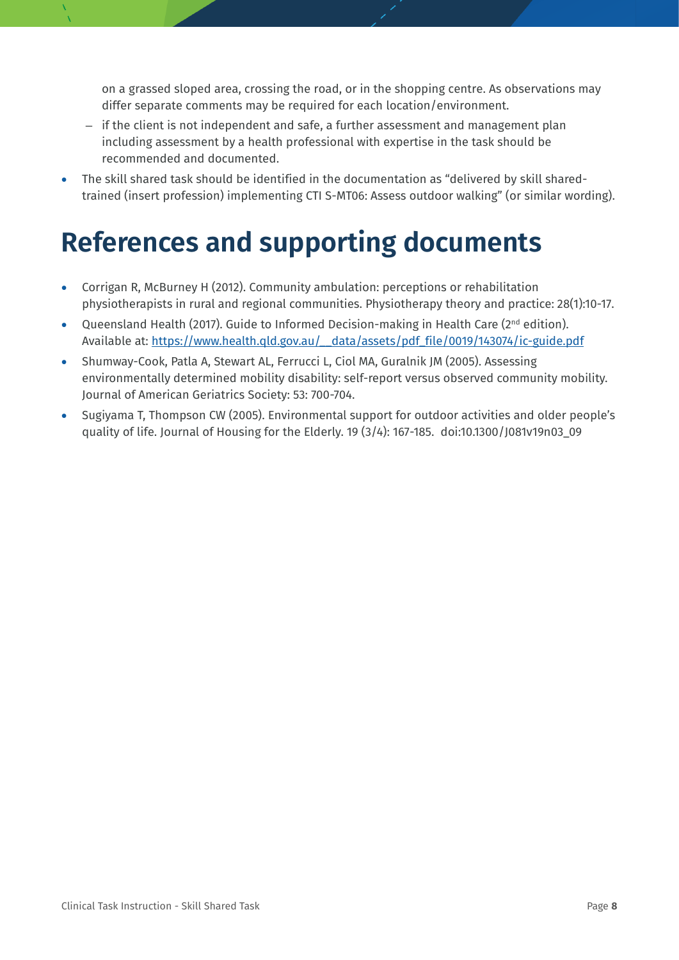on a grassed sloped area, crossing the road, or in the shopping centre. As observations may differ separate comments may be required for each location/environment.

- if the client is not independent and safe, a further assessment and management plan including assessment by a health professional with expertise in the task should be recommended and documented.
- The skill shared task should be identified in the documentation as "delivered by skill sharedtrained (insert profession) implementing CTI S-MT06: Assess outdoor walking" (or similar wording).

## **References and supporting documents**

- Corrigan R, McBurney H (2012). Community ambulation: perceptions or rehabilitation physiotherapists in rural and regional communities. Physiotherapy theory and practice: 28(1):10-17.
- Queensland Health (2017). Guide to Informed Decision-making in Health Care (2nd edition). Available at: [https://www.health.qld.gov.au/\\_\\_data/assets/pdf\\_file/0019/143074/ic-guide.pdf](https://www.health.qld.gov.au/__data/assets/pdf_file/0019/143074/ic-guide.pdf)
- Shumway-Cook, Patla A, Stewart AL, Ferrucci L, Ciol MA, Guralnik JM (2005). Assessing environmentally determined mobility disability: self-report versus observed community mobility. Journal of American Geriatrics Society: 53: 700-704.
- Sugiyama T, Thompson CW (2005). Environmental support for outdoor activities and older people's quality of life. Journal of Housing for the Elderly. 19 (3/4): 167-185. doi:10.1300/J081v19n03\_09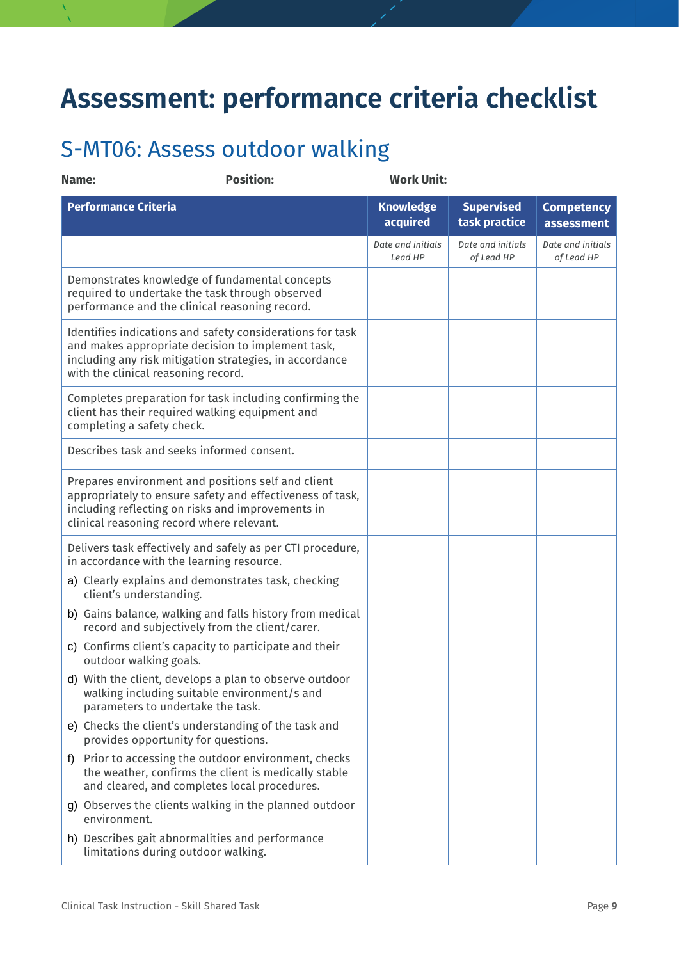## **Assessment: performance criteria checklist**

## S-MT06: Assess outdoor walking

| Name: | <b>Position:</b>                                                                                                                                                                                                  | <b>Work Unit:</b>            |                                    |                                 |
|-------|-------------------------------------------------------------------------------------------------------------------------------------------------------------------------------------------------------------------|------------------------------|------------------------------------|---------------------------------|
|       | <b>Performance Criteria</b>                                                                                                                                                                                       | <b>Knowledge</b><br>acquired | <b>Supervised</b><br>task practice | <b>Competency</b><br>assessment |
|       |                                                                                                                                                                                                                   | Date and initials<br>Lead HP | Date and initials<br>of Lead HP    | Date and initials<br>of Lead HP |
|       | Demonstrates knowledge of fundamental concepts<br>required to undertake the task through observed<br>performance and the clinical reasoning record.                                                               |                              |                                    |                                 |
|       | Identifies indications and safety considerations for task<br>and makes appropriate decision to implement task,<br>including any risk mitigation strategies, in accordance<br>with the clinical reasoning record.  |                              |                                    |                                 |
|       | Completes preparation for task including confirming the<br>client has their required walking equipment and<br>completing a safety check.                                                                          |                              |                                    |                                 |
|       | Describes task and seeks informed consent.                                                                                                                                                                        |                              |                                    |                                 |
|       | Prepares environment and positions self and client<br>appropriately to ensure safety and effectiveness of task,<br>including reflecting on risks and improvements in<br>clinical reasoning record where relevant. |                              |                                    |                                 |
|       | Delivers task effectively and safely as per CTI procedure,<br>in accordance with the learning resource.                                                                                                           |                              |                                    |                                 |
|       | a) Clearly explains and demonstrates task, checking<br>client's understanding.                                                                                                                                    |                              |                                    |                                 |
|       | b) Gains balance, walking and falls history from medical<br>record and subjectively from the client/carer.                                                                                                        |                              |                                    |                                 |
|       | c) Confirms client's capacity to participate and their<br>outdoor walking goals.                                                                                                                                  |                              |                                    |                                 |
|       | d) With the client, develops a plan to observe outdoor<br>walking including suitable environment/s and<br>parameters to undertake the task.                                                                       |                              |                                    |                                 |
|       | e) Checks the client's understanding of the task and<br>provides opportunity for questions.                                                                                                                       |                              |                                    |                                 |
| f)    | Prior to accessing the outdoor environment, checks<br>the weather, confirms the client is medically stable<br>and cleared, and completes local procedures.                                                        |                              |                                    |                                 |
|       | g) Observes the clients walking in the planned outdoor<br>environment.                                                                                                                                            |                              |                                    |                                 |
|       | h) Describes gait abnormalities and performance<br>limitations during outdoor walking.                                                                                                                            |                              |                                    |                                 |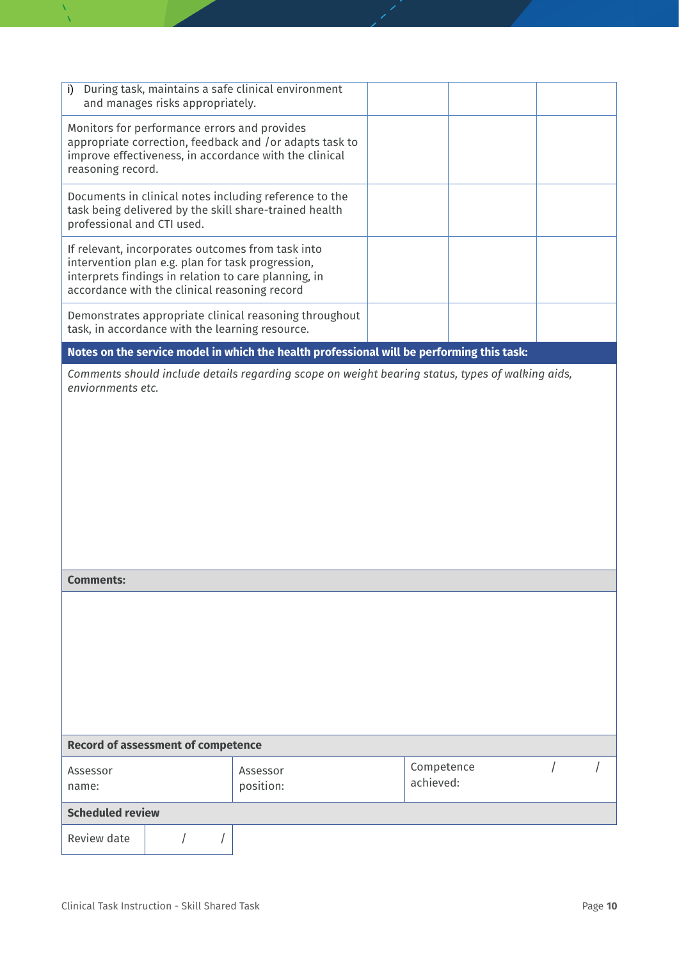| During task, maintains a safe clinical environment<br>i)<br>and manages risks appropriately.                                                                                                                    |                                                                                                                  |                         |  |  |  |  |
|-----------------------------------------------------------------------------------------------------------------------------------------------------------------------------------------------------------------|------------------------------------------------------------------------------------------------------------------|-------------------------|--|--|--|--|
| Monitors for performance errors and provides<br>appropriate correction, feedback and /or adapts task to<br>improve effectiveness, in accordance with the clinical<br>reasoning record.                          |                                                                                                                  |                         |  |  |  |  |
| professional and CTI used.                                                                                                                                                                                      | Documents in clinical notes including reference to the<br>task being delivered by the skill share-trained health |                         |  |  |  |  |
| If relevant, incorporates outcomes from task into<br>intervention plan e.g. plan for task progression,<br>interprets findings in relation to care planning, in<br>accordance with the clinical reasoning record |                                                                                                                  |                         |  |  |  |  |
| Demonstrates appropriate clinical reasoning throughout<br>task, in accordance with the learning resource.                                                                                                       |                                                                                                                  |                         |  |  |  |  |
| Notes on the service model in which the health professional will be performing this task:                                                                                                                       |                                                                                                                  |                         |  |  |  |  |
| Comments should include details regarding scope on weight bearing status, types of walking aids,<br>enviornments etc.                                                                                           |                                                                                                                  |                         |  |  |  |  |
| <b>Comments:</b>                                                                                                                                                                                                |                                                                                                                  |                         |  |  |  |  |
|                                                                                                                                                                                                                 |                                                                                                                  |                         |  |  |  |  |
| <b>Record of assessment of competence</b>                                                                                                                                                                       |                                                                                                                  |                         |  |  |  |  |
| Assessor<br>name:                                                                                                                                                                                               | Assessor<br>position:                                                                                            | Competence<br>achieved: |  |  |  |  |
| <b>Scheduled review</b>                                                                                                                                                                                         |                                                                                                                  |                         |  |  |  |  |
| Review date                                                                                                                                                                                                     |                                                                                                                  |                         |  |  |  |  |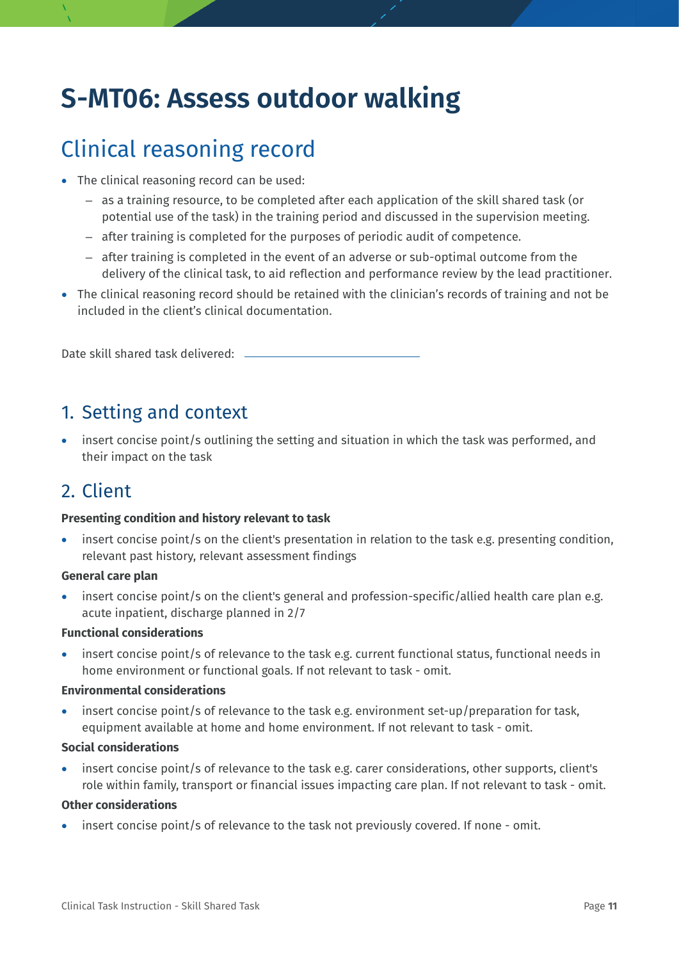## **S-MT06: Assess outdoor walking**

## Clinical reasoning record

- The clinical reasoning record can be used:
	- as a training resource, to be completed after each application of the skill shared task (or potential use of the task) in the training period and discussed in the supervision meeting.
	- after training is completed for the purposes of periodic audit of competence.
	- after training is completed in the event of an adverse or sub-optimal outcome from the delivery of the clinical task, to aid reflection and performance review by the lead practitioner.
- The clinical reasoning record should be retained with the clinician's records of training and not be included in the client's clinical documentation.

Date skill shared task delivered:

#### 1. Setting and context

• insert concise point/s outlining the setting and situation in which the task was performed, and their impact on the task

## 2. Client

#### **Presenting condition and history relevant to task**

insert concise point/s on the client's presentation in relation to the task e.g. presenting condition, relevant past history, relevant assessment findings

#### **General care plan**

insert concise point/s on the client's general and profession-specific/allied health care plan e.g. acute inpatient, discharge planned in 2/7

#### **Functional considerations**

insert concise point/s of relevance to the task e.g. current functional status, functional needs in home environment or functional goals. If not relevant to task - omit.

#### **Environmental considerations**

• insert concise point/s of relevance to the task e.g. environment set-up/preparation for task, equipment available at home and home environment. If not relevant to task - omit.

#### **Social considerations**

insert concise point/s of relevance to the task e.g. carer considerations, other supports, client's role within family, transport or financial issues impacting care plan. If not relevant to task - omit.

#### **Other considerations**

• insert concise point/s of relevance to the task not previously covered. If none - omit.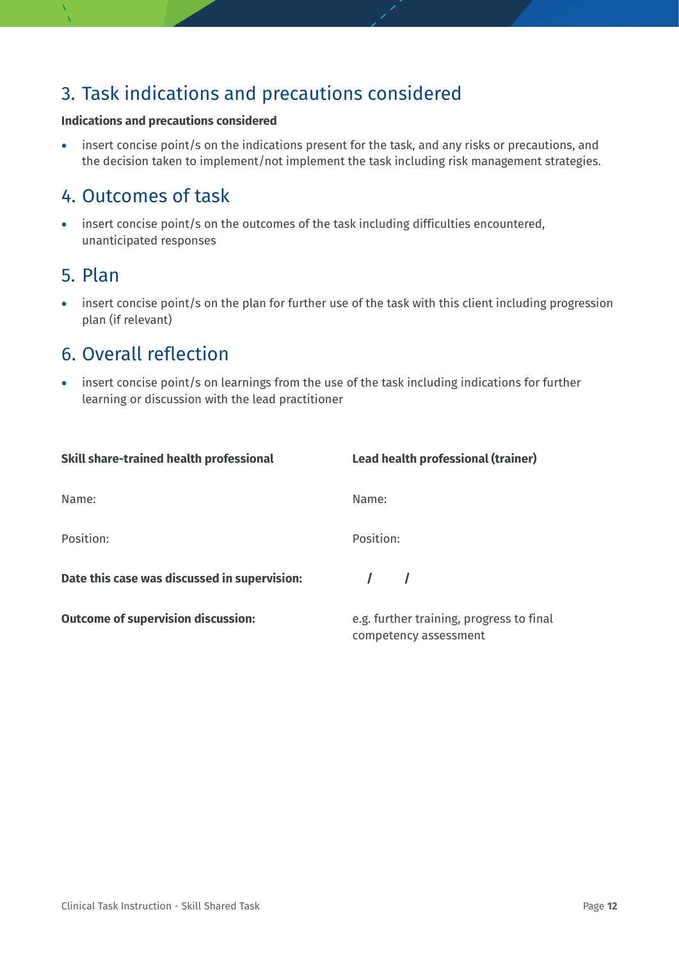## 3. Task indications and precautions considered

#### **Indications and precautions considered**

• insert concise point/s on the indications present for the task, and any risks or precautions, and the decision taken to implement/not implement the task including risk management strategies.

### 4. Outcomes of task

• insert concise point/s on the outcomes of the task including difficulties encountered, unanticipated responses

#### 5. Plan

• insert concise point/s on the plan for further use of the task with this client including progression plan (if relevant)

## 6. Overall reflection

• insert concise point/s on learnings from the use of the task including indications for further learning or discussion with the lead practitioner

| Skill share-trained health professional      | Lead health professional (trainer)                                |
|----------------------------------------------|-------------------------------------------------------------------|
| Name:                                        | Name:                                                             |
| Position:                                    | Position:                                                         |
| Date this case was discussed in supervision: |                                                                   |
| <b>Outcome of supervision discussion:</b>    | e.g. further training, progress to final<br>competency assessment |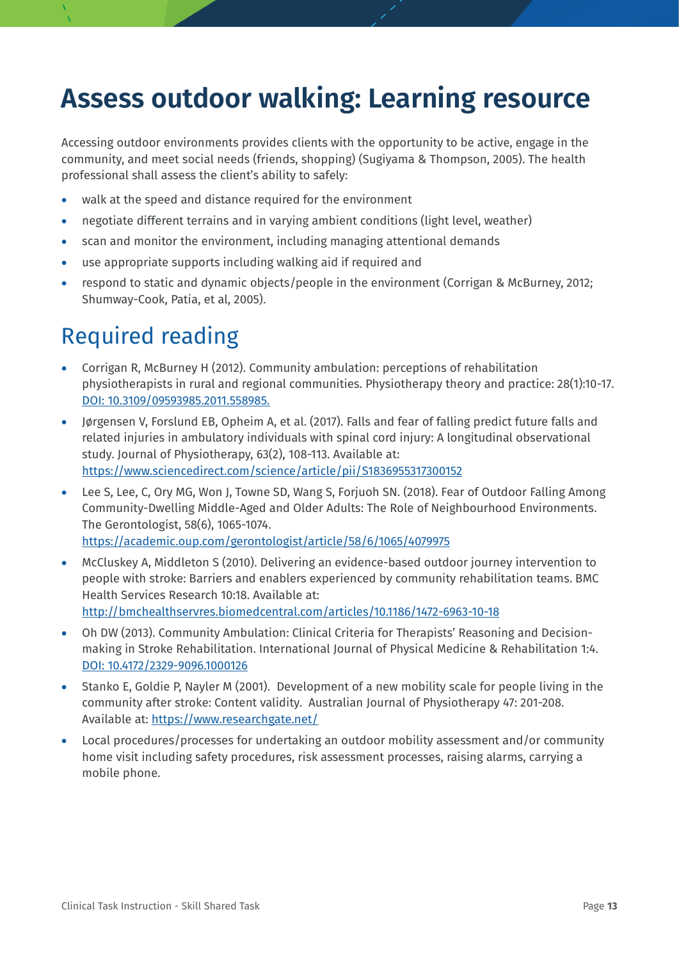## **Assess outdoor walking: Learning resource**

Accessing outdoor environments provides clients with the opportunity to be active, engage in the community, and meet social needs (friends, shopping) (Sugiyama & Thompson, 2005). The health professional shall assess the client's ability to safely:

- walk at the speed and distance required for the environment
- negotiate different terrains and in varying ambient conditions (light level, weather)
- scan and monitor the environment, including managing attentional demands
- use appropriate supports including walking aid if required and
- respond to static and dynamic objects/people in the environment (Corrigan & McBurney, 2012; Shumway-Cook, Patia, et al, 2005).

## Required reading

- Corrigan R, McBurney H (2012). Community ambulation: perceptions of rehabilitation physiotherapists in rural and regional communities. Physiotherapy theory and practice: 28(1):10-17. [DOI: 10.3109/09593985.2011.558985.](https://www.tandfonline.com/doi/full/10.3109/09593985.2011.558985)
- Jørgensen V, Forslund EB, Opheim A, et al. (2017). Falls and fear of falling predict future falls and related injuries in ambulatory individuals with spinal cord injury: A longitudinal observational study. Journal of Physiotherapy, 63(2), 108-113. Available at: <https://www.sciencedirect.com/science/article/pii/S1836955317300152>
- Lee S, Lee, C, Ory MG, Won J, Towne SD, Wang S, Forjuoh SN. (2018). Fear of Outdoor Falling Among Community-Dwelling Middle-Aged and Older Adults: The Role of Neighbourhood Environments. The Gerontologist, 58(6), 1065-1074. <https://academic.oup.com/gerontologist/article/58/6/1065/4079975>
- McCluskey A, Middleton S (2010). Delivering an evidence-based outdoor journey intervention to people with stroke: Barriers and enablers experienced by community rehabilitation teams. BMC Health Services Research 10:18. Available at: <http://bmchealthservres.biomedcentral.com/articles/10.1186/1472-6963-10-18>
- Oh DW (2013). Community Ambulation: Clinical Criteria for Therapists' Reasoning and Decisionmaking in Stroke Rehabilitation. International Journal of Physical Medicine & Rehabilitation 1:4. [DOI: 10.4172/2329-9096.1000126](https://www.longdom.org/archive/jpmr-volume-1-issue-4-year-2013.html)
- Stanko E, Goldie P, Nayler M (2001). Development of a new mobility scale for people living in the community after stroke: Content validity. Australian Journal of Physiotherapy 47: 201-208. Available at:<https://www.researchgate.net/>
- Local procedures/processes for undertaking an outdoor mobility assessment and/or community home visit including safety procedures, risk assessment processes, raising alarms, carrying a mobile phone.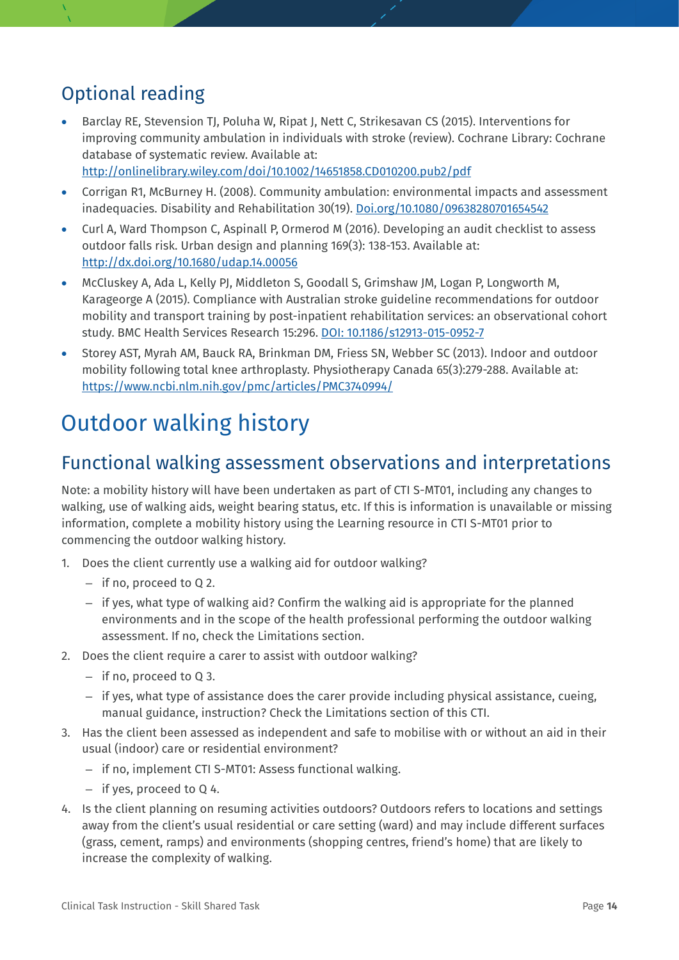## Optional reading

- Barclay RE, Stevension TJ, Poluha W, Ripat J, Nett C, Strikesavan CS (2015). Interventions for improving community ambulation in individuals with stroke (review). Cochrane Library: Cochrane database of systematic review. Available at: <http://onlinelibrary.wiley.com/doi/10.1002/14651858.CD010200.pub2/pdf>
- Corrigan R1, McBurney H. (2008). Community ambulation: environmental impacts and assessment inadequacies. Disability and Rehabilitation 30(19). [Doi.org/10.1080/09638280701654542](file://CBH-CL1_SC_DATA11/DATA11/Allied_Health/TJ/WIP/%EF%85%8Chttps:/doi.org/10.1080/09638280701654542)
- Curl A, Ward Thompson C, Aspinall P, Ormerod M (2016). Developing an audit checklist to assess outdoor falls risk. Urban design and planning 169(3): 138-153. Available at: <http://dx.doi.org/10.1680/udap.14.00056>
- McCluskey A, Ada L, Kelly PJ, Middleton S, Goodall S, Grimshaw JM, Logan P, Longworth M, Karageorge A (2015). Compliance with Australian stroke guideline recommendations for outdoor mobility and transport training by post-inpatient rehabilitation services: an observational cohort study. BMC Health Services Research 15:296. [DOI: 10.1186/s12913-015-0952-7](https://bmchealthservres.biomedcentral.com/articles/10.1186/s12913-015-0952-7)
- Storey AST, Myrah AM, Bauck RA, Brinkman DM, Friess SN, Webber SC (2013). Indoor and outdoor mobility following total knee arthroplasty. Physiotherapy Canada 65(3):279-288. Available at: <https://www.ncbi.nlm.nih.gov/pmc/articles/PMC3740994/>

## Outdoor walking history

### Functional walking assessment observations and interpretations

Note: a mobility history will have been undertaken as part of CTI S-MT01, including any changes to walking, use of walking aids, weight bearing status, etc. If this is information is unavailable or missing information, complete a mobility history using the Learning resource in CTI S-MT01 prior to commencing the outdoor walking history.

- 1. Does the client currently use a walking aid for outdoor walking?
	- if no, proceed to Q 2.
	- if yes, what type of walking aid? Confirm the walking aid is appropriate for the planned environments and in the scope of the health professional performing the outdoor walking assessment. If no, check the Limitations section.
- 2. Does the client require a carer to assist with outdoor walking?
	- if no, proceed to Q 3.
	- if yes, what type of assistance does the carer provide including physical assistance, cueing, manual guidance, instruction? Check the Limitations section of this CTI.
- 3. Has the client been assessed as independent and safe to mobilise with or without an aid in their usual (indoor) care or residential environment?
	- if no, implement CTI S-MT01: Assess functional walking.
	- if yes, proceed to Q 4.
- 4. Is the client planning on resuming activities outdoors? Outdoors refers to locations and settings away from the client's usual residential or care setting (ward) and may include different surfaces (grass, cement, ramps) and environments (shopping centres, friend's home) that are likely to increase the complexity of walking.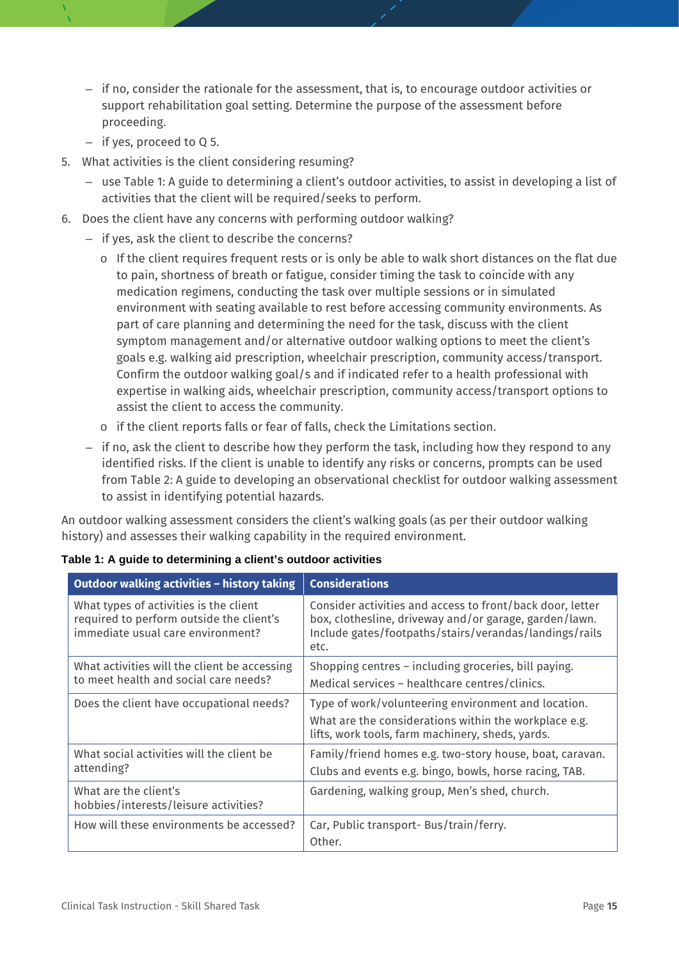- if no, consider the rationale for the assessment, that is, to encourage outdoor activities or support rehabilitation goal setting. Determine the purpose of the assessment before proceeding.
- if yes, proceed to Q 5.
- 5. What activities is the client considering resuming?
	- use Table 1: A guide to determining a client's outdoor activities, to assist in developing a list of activities that the client will be required/seeks to perform.
- 6. Does the client have any concerns with performing outdoor walking?
	- if yes, ask the client to describe the concerns?
		- $\circ$  If the client requires frequent rests or is only be able to walk short distances on the flat due to pain, shortness of breath or fatigue, consider timing the task to coincide with any medication regimens, conducting the task over multiple sessions or in simulated environment with seating available to rest before accessing community environments. As part of care planning and determining the need for the task, discuss with the client symptom management and/or alternative outdoor walking options to meet the client's goals e.g. walking aid prescription, wheelchair prescription, community access/transport. Confirm the outdoor walking goal/s and if indicated refer to a health professional with expertise in walking aids, wheelchair prescription, community access/transport options to assist the client to access the community.
		- o if the client reports falls or fear of falls, check the Limitations section.
	- if no, ask the client to describe how they perform the task, including how they respond to any identified risks. If the client is unable to identify any risks or concerns, prompts can be used from Table 2: A guide to developing an observational checklist for outdoor walking assessment to assist in identifying potential hazards.

An outdoor walking assessment considers the client's walking goals (as per their outdoor walking history) and assesses their walking capability in the required environment.

| Outdoor walking activities - history taking                                                                             | <b>Considerations</b>                                                                                                                                                                 |
|-------------------------------------------------------------------------------------------------------------------------|---------------------------------------------------------------------------------------------------------------------------------------------------------------------------------------|
| What types of activities is the client<br>required to perform outside the client's<br>immediate usual care environment? | Consider activities and access to front/back door, letter<br>box, clothesline, driveway and/or garage, garden/lawn.<br>Include gates/footpaths/stairs/verandas/landings/rails<br>etc. |
| What activities will the client be accessing<br>to meet health and social care needs?                                   | Shopping centres - including groceries, bill paying.<br>Medical services - healthcare centres/clinics.                                                                                |
| Does the client have occupational needs?                                                                                | Type of work/volunteering environment and location.<br>What are the considerations within the workplace e.g.<br>lifts, work tools, farm machinery, sheds, yards.                      |
| What social activities will the client be<br>attending?                                                                 | Family/friend homes e.g. two-story house, boat, caravan.<br>Clubs and events e.g. bingo, bowls, horse racing, TAB.                                                                    |
| What are the client's<br>hobbies/interests/leisure activities?                                                          | Gardening, walking group, Men's shed, church.                                                                                                                                         |
| How will these environments be accessed?                                                                                | Car, Public transport- Bus/train/ferry.<br>Other.                                                                                                                                     |

|  |  |  |  | Table 1: A guide to determining a client's outdoor activities |  |  |  |
|--|--|--|--|---------------------------------------------------------------|--|--|--|
|--|--|--|--|---------------------------------------------------------------|--|--|--|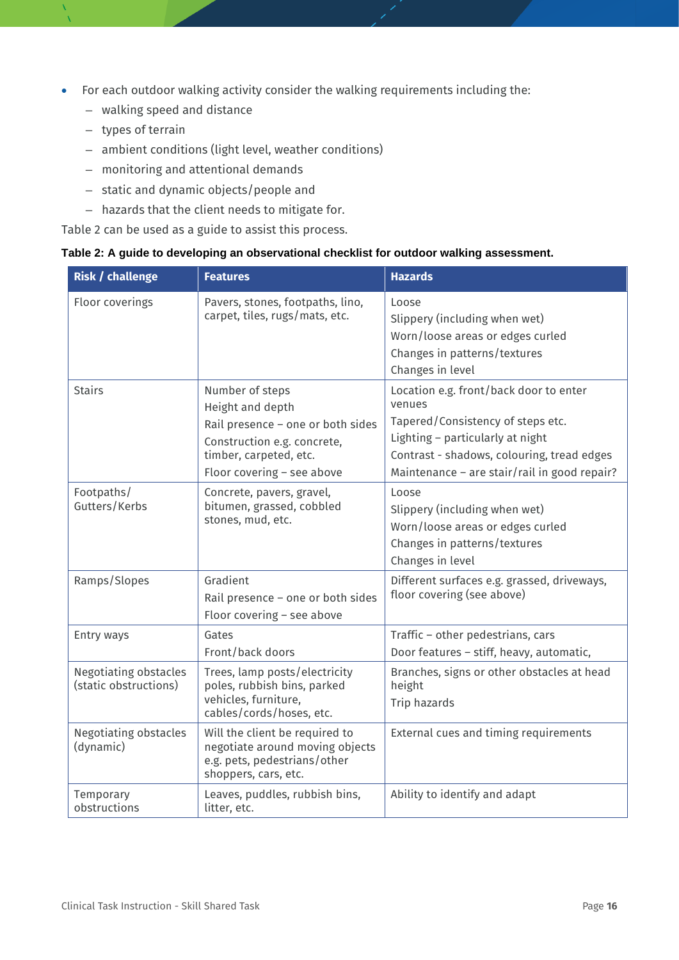- For each outdoor walking activity consider the walking requirements including the:
	- walking speed and distance
	- types of terrain
	- ambient conditions (light level, weather conditions)
	- monitoring and attentional demands
	- static and dynamic objects/people and
	- hazards that the client needs to mitigate for.

Table 2 can be used as a guide to assist this process.

|  | Table 2: A guide to developing an observational checklist for outdoor walking assessment. |  |
|--|-------------------------------------------------------------------------------------------|--|
|  |                                                                                           |  |

| <b>Risk / challenge</b>                               | <b>Features</b>                                                                                                                                                 | <b>Hazards</b>                                                                                                                                                                                                          |
|-------------------------------------------------------|-----------------------------------------------------------------------------------------------------------------------------------------------------------------|-------------------------------------------------------------------------------------------------------------------------------------------------------------------------------------------------------------------------|
| Floor coverings                                       | Pavers, stones, footpaths, lino,<br>carpet, tiles, rugs/mats, etc.                                                                                              | Loose<br>Slippery (including when wet)<br>Worn/loose areas or edges curled<br>Changes in patterns/textures<br>Changes in level                                                                                          |
| <b>Stairs</b>                                         | Number of steps<br>Height and depth<br>Rail presence - one or both sides<br>Construction e.g. concrete,<br>timber, carpeted, etc.<br>Floor covering - see above | Location e.g. front/back door to enter<br>venues<br>Tapered/Consistency of steps etc.<br>Lighting - particularly at night<br>Contrast - shadows, colouring, tread edges<br>Maintenance - are stair/rail in good repair? |
| Footpaths/<br>Gutters/Kerbs                           | Concrete, pavers, gravel,<br>bitumen, grassed, cobbled<br>stones, mud, etc.                                                                                     | Loose<br>Slippery (including when wet)<br>Worn/loose areas or edges curled<br>Changes in patterns/textures<br>Changes in level                                                                                          |
| Ramps/Slopes                                          | Gradient<br>Rail presence - one or both sides<br>Floor covering - see above                                                                                     | Different surfaces e.g. grassed, driveways,<br>floor covering (see above)                                                                                                                                               |
| Entry ways                                            | Gates<br>Front/back doors                                                                                                                                       | Traffic - other pedestrians, cars<br>Door features - stiff, heavy, automatic,                                                                                                                                           |
| <b>Negotiating obstacles</b><br>(static obstructions) | Trees, lamp posts/electricity<br>poles, rubbish bins, parked<br>vehicles, furniture,<br>cables/cords/hoses, etc.                                                | Branches, signs or other obstacles at head<br>height<br>Trip hazards                                                                                                                                                    |
| <b>Negotiating obstacles</b><br>(dynamic)             | Will the client be required to<br>negotiate around moving objects<br>e.g. pets, pedestrians/other<br>shoppers, cars, etc.                                       | External cues and timing requirements                                                                                                                                                                                   |
| Temporary<br>obstructions                             | Leaves, puddles, rubbish bins,<br>litter, etc.                                                                                                                  | Ability to identify and adapt                                                                                                                                                                                           |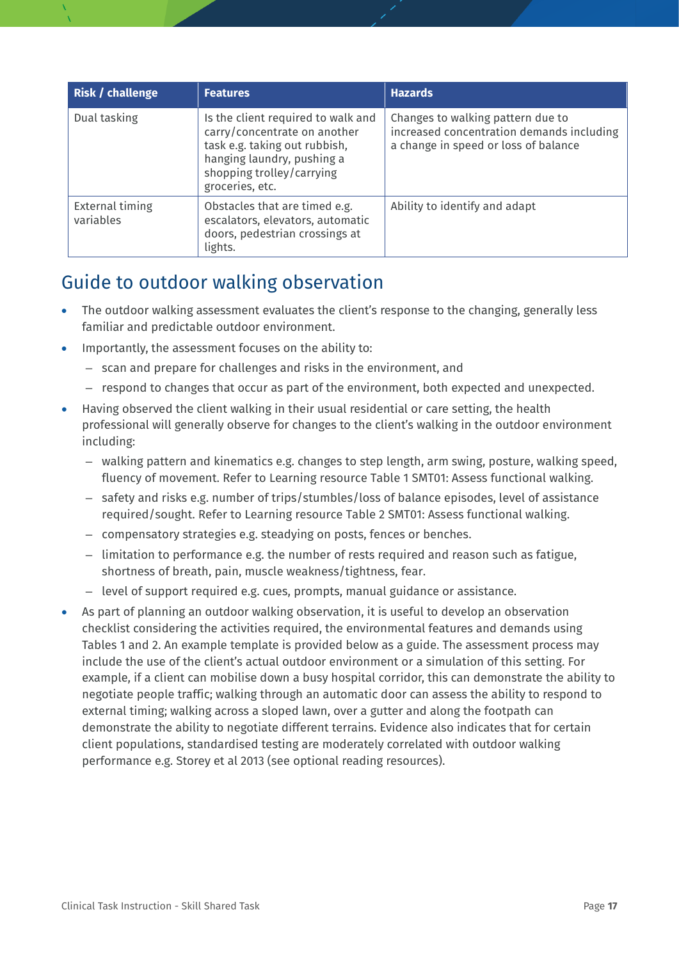| <b>Risk / challenge</b>      | <b>Features</b>                                                                                                                                                                   | <b>Hazards</b>                                                                                                         |
|------------------------------|-----------------------------------------------------------------------------------------------------------------------------------------------------------------------------------|------------------------------------------------------------------------------------------------------------------------|
| Dual tasking                 | Is the client required to walk and<br>carry/concentrate on another<br>task e.g. taking out rubbish,<br>hanging laundry, pushing a<br>shopping trolley/carrying<br>groceries, etc. | Changes to walking pattern due to<br>increased concentration demands including<br>a change in speed or loss of balance |
| External timing<br>variables | Obstacles that are timed e.g.<br>escalators, elevators, automatic<br>doors, pedestrian crossings at<br>lights.                                                                    | Ability to identify and adapt                                                                                          |

## Guide to outdoor walking observation

- The outdoor walking assessment evaluates the client's response to the changing, generally less familiar and predictable outdoor environment.
- Importantly, the assessment focuses on the ability to:
	- scan and prepare for challenges and risks in the environment, and
	- respond to changes that occur as part of the environment, both expected and unexpected.
- Having observed the client walking in their usual residential or care setting, the health professional will generally observe for changes to the client's walking in the outdoor environment including:
	- walking pattern and kinematics e.g. changes to step length, arm swing, posture, walking speed, fluency of movement. Refer to Learning resource Table 1 SMT01: Assess functional walking.
	- safety and risks e.g. number of trips/stumbles/loss of balance episodes, level of assistance required/sought. Refer to Learning resource Table 2 SMT01: Assess functional walking.
	- compensatory strategies e.g. steadying on posts, fences or benches.
	- limitation to performance e.g. the number of rests required and reason such as fatigue, shortness of breath, pain, muscle weakness/tightness, fear.
	- level of support required e.g. cues, prompts, manual guidance or assistance.
- As part of planning an outdoor walking observation, it is useful to develop an observation checklist considering the activities required, the environmental features and demands using Tables 1 and 2. An example template is provided below as a guide. The assessment process may include the use of the client's actual outdoor environment or a simulation of this setting. For example, if a client can mobilise down a busy hospital corridor, this can demonstrate the ability to negotiate people traffic; walking through an automatic door can assess the ability to respond to external timing; walking across a sloped lawn, over a gutter and along the footpath can demonstrate the ability to negotiate different terrains. Evidence also indicates that for certain client populations, standardised testing are moderately correlated with outdoor walking performance e.g. Storey et al 2013 (see optional reading resources).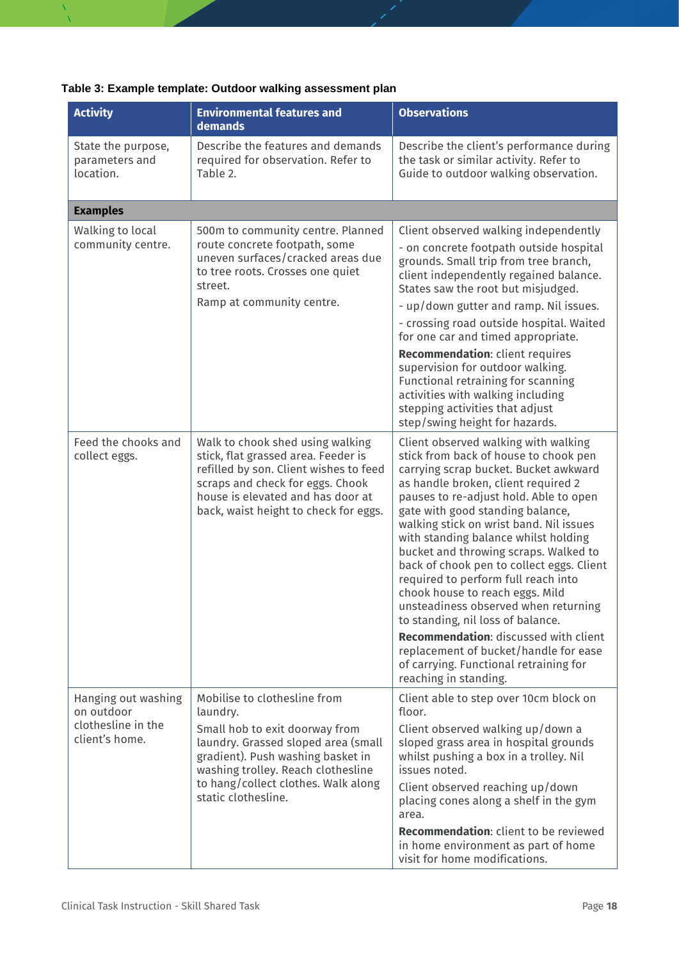| Table 3: Example template: Outdoor walking assessment plan |  |  |
|------------------------------------------------------------|--|--|
|------------------------------------------------------------|--|--|

| <b>Activity</b>                                                           | <b>Environmental features and</b><br>demands                                                                                                                                                                                                               | <b>Observations</b>                                                                                                                                                                                                                                                                                                                                                                                                                                                                                                                                                                                                                                                                                                                                                                                   |
|---------------------------------------------------------------------------|------------------------------------------------------------------------------------------------------------------------------------------------------------------------------------------------------------------------------------------------------------|-------------------------------------------------------------------------------------------------------------------------------------------------------------------------------------------------------------------------------------------------------------------------------------------------------------------------------------------------------------------------------------------------------------------------------------------------------------------------------------------------------------------------------------------------------------------------------------------------------------------------------------------------------------------------------------------------------------------------------------------------------------------------------------------------------|
| State the purpose,<br>parameters and<br>location.                         | Describe the features and demands<br>required for observation. Refer to<br>Table 2.                                                                                                                                                                        | Describe the client's performance during<br>the task or similar activity. Refer to<br>Guide to outdoor walking observation.                                                                                                                                                                                                                                                                                                                                                                                                                                                                                                                                                                                                                                                                           |
| <b>Examples</b>                                                           |                                                                                                                                                                                                                                                            |                                                                                                                                                                                                                                                                                                                                                                                                                                                                                                                                                                                                                                                                                                                                                                                                       |
| Walking to local<br>community centre.                                     | 500m to community centre. Planned<br>route concrete footpath, some<br>uneven surfaces/cracked areas due<br>to tree roots. Crosses one quiet<br>street.<br>Ramp at community centre.                                                                        | Client observed walking independently<br>- on concrete footpath outside hospital<br>grounds. Small trip from tree branch,<br>client independently regained balance.<br>States saw the root but misjudged.<br>- up/down gutter and ramp. Nil issues.<br>- crossing road outside hospital. Waited<br>for one car and timed appropriate.<br>Recommendation: client requires<br>supervision for outdoor walking.<br>Functional retraining for scanning<br>activities with walking including                                                                                                                                                                                                                                                                                                               |
| Feed the chooks and<br>collect eggs.                                      | Walk to chook shed using walking<br>stick, flat grassed area. Feeder is<br>refilled by son. Client wishes to feed<br>scraps and check for eggs. Chook<br>house is elevated and has door at<br>back, waist height to check for eggs.                        | stepping activities that adjust<br>step/swing height for hazards.<br>Client observed walking with walking<br>stick from back of house to chook pen<br>carrying scrap bucket. Bucket awkward<br>as handle broken, client required 2<br>pauses to re-adjust hold. Able to open<br>gate with good standing balance,<br>walking stick on wrist band. Nil issues<br>with standing balance whilst holding<br>bucket and throwing scraps. Walked to<br>back of chook pen to collect eggs. Client<br>required to perform full reach into<br>chook house to reach eggs. Mild<br>unsteadiness observed when returning<br>to standing, nil loss of balance.<br>Recommendation: discussed with client<br>replacement of bucket/handle for ease<br>of carrying. Functional retraining for<br>reaching in standing. |
| Hanging out washing<br>on outdoor<br>clothesline in the<br>client's home. | Mobilise to clothesline from<br>laundry.<br>Small hob to exit doorway from<br>laundry. Grassed sloped area (small<br>gradient). Push washing basket in<br>washing trolley. Reach clothesline<br>to hang/collect clothes. Walk along<br>static clothesline. | Client able to step over 10cm block on<br>floor.<br>Client observed walking up/down a<br>sloped grass area in hospital grounds<br>whilst pushing a box in a trolley. Nil<br>issues noted.<br>Client observed reaching up/down<br>placing cones along a shelf in the gym<br>area.<br>Recommendation: client to be reviewed<br>in home environment as part of home<br>visit for home modifications.                                                                                                                                                                                                                                                                                                                                                                                                     |